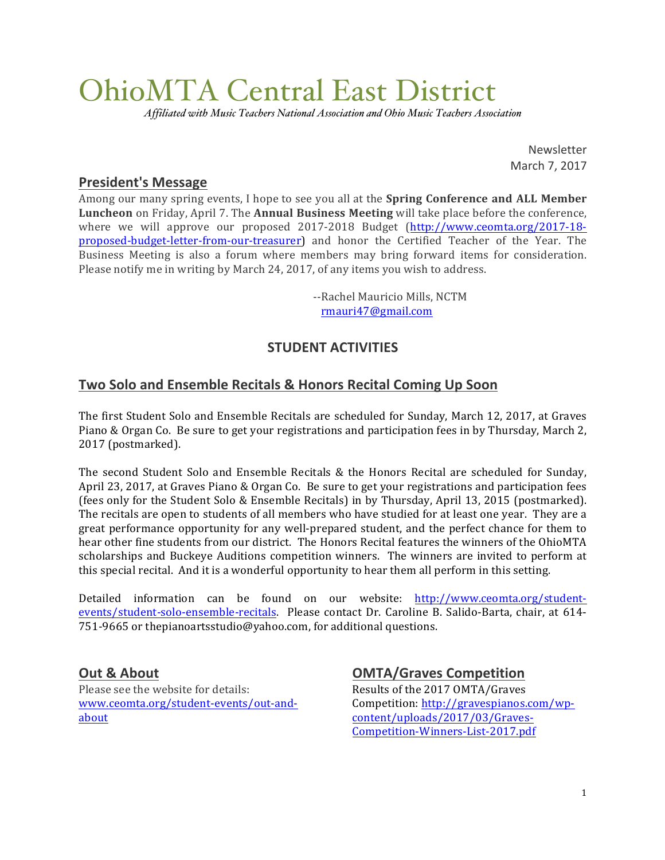# OhioMTA Central East District

*Affiliated with Music Teachers National Association and Ohio Music Teachers Association*

Newsletter March 7, 2017

## **President's Message**

Among our many spring events, I hope to see you all at the **Spring Conference and ALL Member Luncheon** on Friday, April 7. The **Annual Business Meeting** will take place before the conference, where we will approve our proposed 2017-2018 Budget (http://www.ceomta.org/2017-18proposed-budget-letter-from-our-treasurer) and honor the Certified Teacher of the Year. The Business Meeting is also a forum where members may bring forward items for consideration. Please notify me in writing by March 24, 2017, of any items you wish to address.

> --Rachel Mauricio Mills, NCTM rmauri47@gmail.com

## **STUDENT ACTIVITIES**

## **Two Solo and Ensemble Recitals & Honors Recital Coming Up Soon**

The first Student Solo and Ensemble Recitals are scheduled for Sunday, March 12, 2017, at Graves Piano & Organ Co. Be sure to get your registrations and participation fees in by Thursday, March 2, 2017 (postmarked).

The second Student Solo and Ensemble Recitals  $&$  the Honors Recital are scheduled for Sunday, April 23, 2017, at Graves Piano & Organ Co. Be sure to get your registrations and participation fees (fees only for the Student Solo & Ensemble Recitals) in by Thursday, April 13, 2015 (postmarked). The recitals are open to students of all members who have studied for at least one year. They are a great performance opportunity for any well-prepared student, and the perfect chance for them to hear other fine students from our district. The Honors Recital features the winners of the OhioMTA scholarships and Buckeye Auditions competition winners. The winners are invited to perform at this special recital. And it is a wonderful opportunity to hear them all perform in this setting.

Detailed information can be found on our website: http://www.ceomta.org/studentevents/student-solo-ensemble-recitals. Please contact Dr. Caroline B. Salido-Barta, chair, at 614-751-9665 or thepianoartsstudio@yahoo.com, for additional questions.

## **Out & About**

Please see the website for details: www.ceomta.org/student-events/out-andabout

## **OMTA/Graves Competition**

Results of the 2017 OMTA/Graves Competition: http://gravespianos.com/wpcontent/uploads/2017/03/Graves-Competition-Winners-List-2017.pdf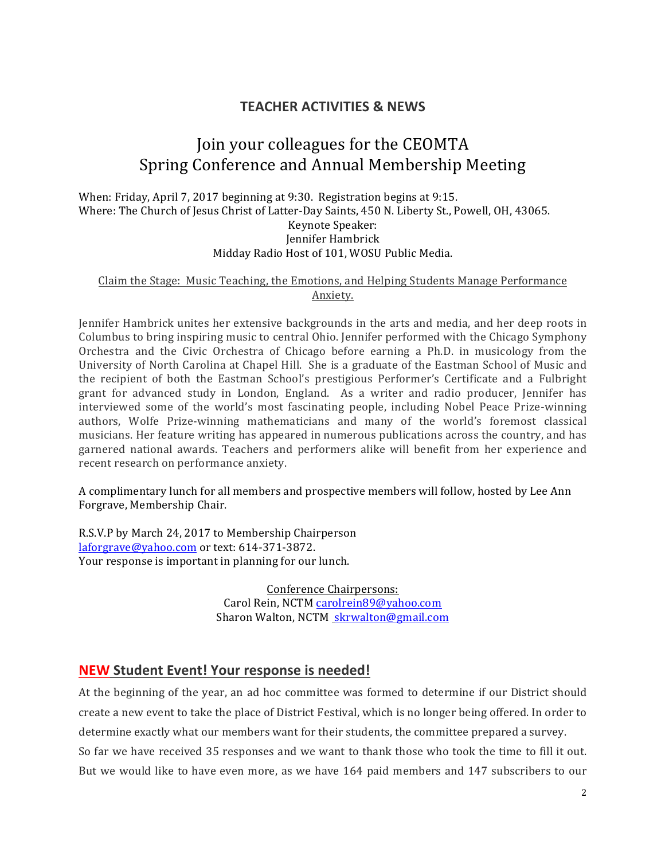## **TEACHER ACTIVITIES & NEWS**

# Join your colleagues for the CEOMTA Spring Conference and Annual Membership Meeting

When: Friday, April 7, 2017 beginning at 9:30. Registration begins at 9:15. Where: The Church of Jesus Christ of Latter-Day Saints, 450 N. Liberty St., Powell, OH, 43065. Keynote Speaker: Jennifer Hambrick Midday Radio Host of 101, WOSU Public Media.

#### Claim the Stage: Music Teaching, the Emotions, and Helping Students Manage Performance Anxiety.

Jennifer Hambrick unites her extensive backgrounds in the arts and media, and her deep roots in Columbus to bring inspiring music to central Ohio. Jennifer performed with the Chicago Symphony Orchestra and the Civic Orchestra of Chicago before earning a Ph.D. in musicology from the University of North Carolina at Chapel Hill. She is a graduate of the Eastman School of Music and the recipient of both the Eastman School's prestigious Performer's Certificate and a Fulbright grant for advanced study in London, England. As a writer and radio producer, Jennifer has interviewed some of the world's most fascinating people, including Nobel Peace Prize-winning authors, Wolfe Prize-winning mathematicians and many of the world's foremost classical musicians. Her feature writing has appeared in numerous publications across the country, and has garnered national awards. Teachers and performers alike will benefit from her experience and recent research on performance anxiety.

A complimentary lunch for all members and prospective members will follow, hosted by Lee Ann Forgrave, Membership Chair.

R.S.V.P by March 24, 2017 to Membership Chairperson laforgrave@yahoo.com or text: 614-371-3872. Your response is important in planning for our lunch.

> Conference Chairpersons: Carol Rein, NCTM carolrein89@yahoo.com Sharon Walton, NCTM skrwalton@gmail.com

## **NEW** Student Event! Your response is needed!

At the beginning of the year, an ad hoc committee was formed to determine if our District should create a new event to take the place of District Festival, which is no longer being offered. In order to determine exactly what our members want for their students, the committee prepared a survey.

So far we have received 35 responses and we want to thank those who took the time to fill it out. But we would like to have even more, as we have 164 paid members and 147 subscribers to our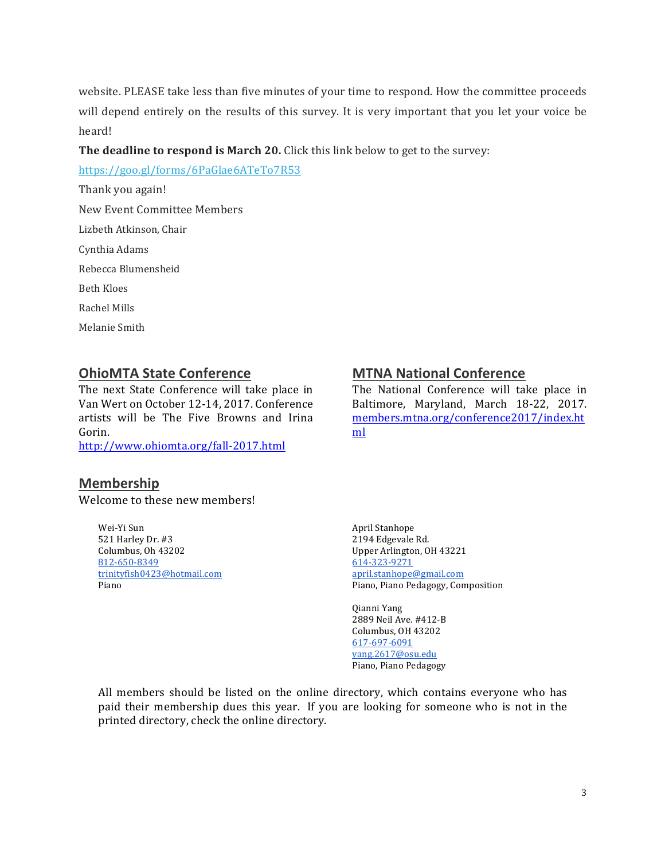website. PLEASE take less than five minutes of your time to respond. How the committee proceeds will depend entirely on the results of this survey. It is very important that you let your voice be heard!

#### The deadline to respond is March 20. Click this link below to get to the survey:

https://goo.gl/forms/6PaGlae6ATeTo7R53

Thank you again! New Event Committee Members Lizbeth Atkinson, Chair Cynthia Adams Rebecca Blumensheid **Beth Kloes** Rachel Mills Melanie Smith

## **OhioMTA State Conference**

The next State Conference will take place in Van Wert on October 12-14, 2017. Conference artists will be The Five Browns and Irina Gorin. 

http://www.ohiomta.org/fall-2017.html

## **Membership**

Welcome to these new members!

Wei-Yi Sun 521 Harley Dr. #3 Columbus, Oh 43202 812-650-8349 trinityfish0423@hotmail.com Piano

## **MTNA National Conference**

The National Conference will take place in Baltimore, Maryland, March 18-22, 2017. members.mtna.org/conference2017/index.ht ml

April Stanhope 2194 Edgevale Rd. Upper Arlington, OH 43221 614-323-9271 april.stanhope@gmail.com Piano, Piano Pedagogy, Composition

Qianni Yang 2889 Neil Ave. #412-B Columbus, OH 43202 617-697-6091 yang.2617@osu.edu Piano, Piano Pedagogy

All members should be listed on the online directory, which contains everyone who has paid their membership dues this year. If you are looking for someone who is not in the printed directory, check the online directory.